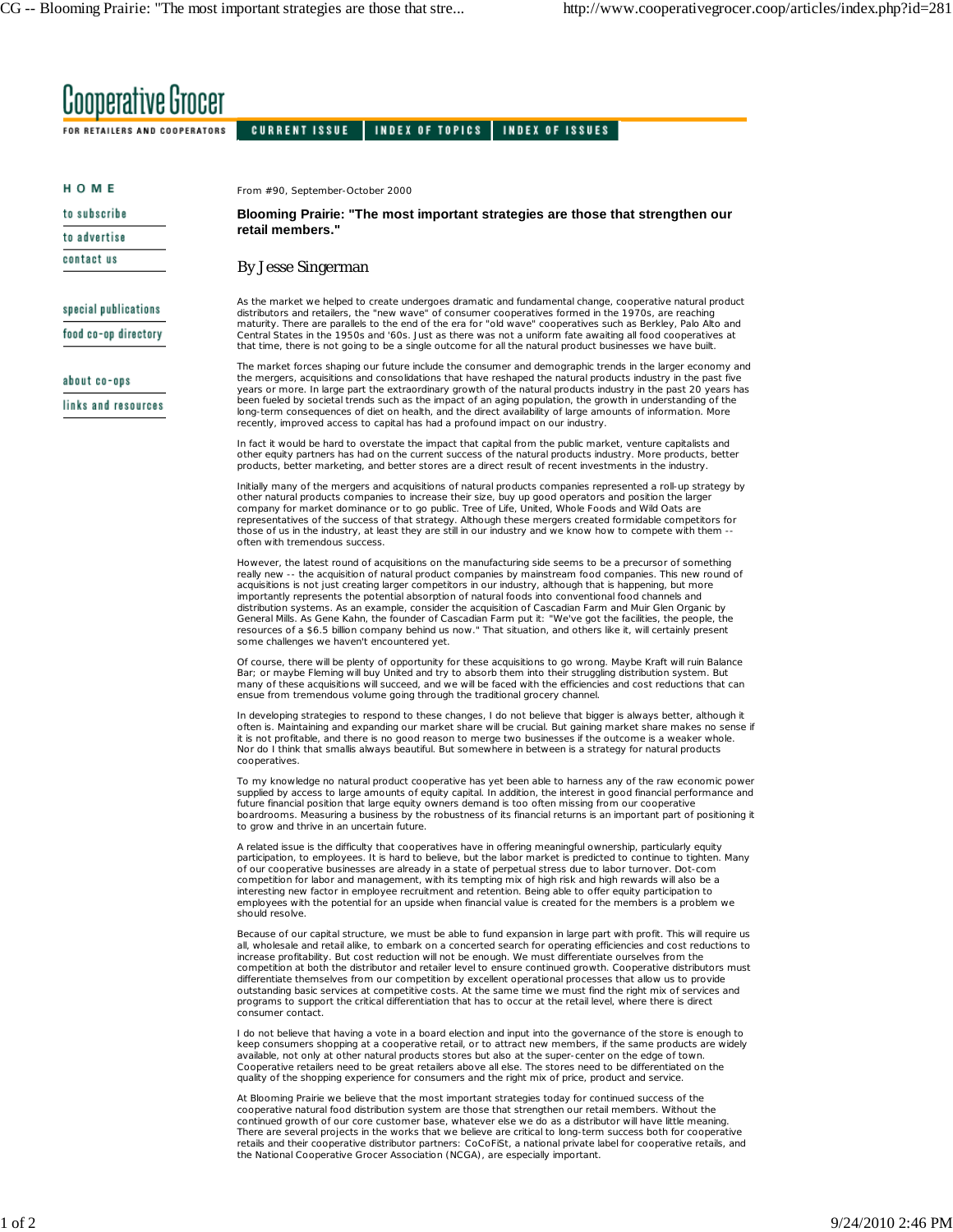## **Cooperative Grocer**

FOR RETAILERS AND COOPERATORS CURRENT ISSUE INDEX OF TOPICS INDEX OF ISSUES

| номе                 | From #90, September-October 2000                                                                                                                                                                                                                                                                                                                                                                                                                                                                                                                                                                                                                                                                                                                                                                                                                                                                                                                                                                                                                                                                                                                                                                                                       |
|----------------------|----------------------------------------------------------------------------------------------------------------------------------------------------------------------------------------------------------------------------------------------------------------------------------------------------------------------------------------------------------------------------------------------------------------------------------------------------------------------------------------------------------------------------------------------------------------------------------------------------------------------------------------------------------------------------------------------------------------------------------------------------------------------------------------------------------------------------------------------------------------------------------------------------------------------------------------------------------------------------------------------------------------------------------------------------------------------------------------------------------------------------------------------------------------------------------------------------------------------------------------|
| to subscribe         | Blooming Prairie: "The most important strategies are those that strengthen our<br>retail members."                                                                                                                                                                                                                                                                                                                                                                                                                                                                                                                                                                                                                                                                                                                                                                                                                                                                                                                                                                                                                                                                                                                                     |
| to advertise         |                                                                                                                                                                                                                                                                                                                                                                                                                                                                                                                                                                                                                                                                                                                                                                                                                                                                                                                                                                                                                                                                                                                                                                                                                                        |
| contact us           | <b>By Jesse Singerman</b>                                                                                                                                                                                                                                                                                                                                                                                                                                                                                                                                                                                                                                                                                                                                                                                                                                                                                                                                                                                                                                                                                                                                                                                                              |
| special publications | As the market we helped to create undergoes dramatic and fundamental change, cooperative natural product<br>distributors and retailers, the "new wave" of consumer cooperatives formed in the 1970s, are reaching<br>maturity. There are parallels to the end of the era for "old wave" cooperatives such as Berkley, Palo Alto and<br>Central States in the 1950s and '60s. Just as there was not a uniform fate awaiting all food cooperatives at<br>that time, there is not going to be a single outcome for all the natural product businesses we have built.<br>The market forces shaping our future include the consumer and demographic trends in the larger economy and<br>the mergers, acquisitions and consolidations that have reshaped the natural products industry in the past five<br>years or more. In large part the extraordinary growth of the natural products industry in the past 20 years has<br>been fueled by societal trends such as the impact of an aging population, the growth in understanding of the<br>long-term consequences of diet on health, and the direct availability of large amounts of information. More<br>recently, improved access to capital has had a profound impact on our industry. |
| food co-op directory |                                                                                                                                                                                                                                                                                                                                                                                                                                                                                                                                                                                                                                                                                                                                                                                                                                                                                                                                                                                                                                                                                                                                                                                                                                        |
| about co-ops         |                                                                                                                                                                                                                                                                                                                                                                                                                                                                                                                                                                                                                                                                                                                                                                                                                                                                                                                                                                                                                                                                                                                                                                                                                                        |
| links and resources  |                                                                                                                                                                                                                                                                                                                                                                                                                                                                                                                                                                                                                                                                                                                                                                                                                                                                                                                                                                                                                                                                                                                                                                                                                                        |
|                      | In fact it would be hard to overstate the impact that capital from the public market, venture capitalists and<br>other equity partners has had on the current success of the natural products industry. More products, better<br>products, better marketing, and better stores are a direct result of recent investments in the industry.                                                                                                                                                                                                                                                                                                                                                                                                                                                                                                                                                                                                                                                                                                                                                                                                                                                                                              |
|                      | Initially many of the mergers and acquisitions of natural products companies represented a roll-up strategy by<br>other natural products companies to increase their size, buy up good operators and position the larger<br>company for market dominance or to go public. Tree of Life, United, Whole Foods and Wild Oats are<br>representatives of the success of that strategy. Although these mergers created formidable competitors for<br>those of us in the industry, at least they are still in our industry and we know how to compete with them --<br>often with tremendous success.                                                                                                                                                                                                                                                                                                                                                                                                                                                                                                                                                                                                                                          |
|                      | However, the latest round of acquisitions on the manufacturing side seems to be a precursor of something<br>really new -- the acquisition of natural product companies by mainstream food companies. This new round of<br>acquisitions is not just creating larger competitors in our industry, although that is happening, but more<br>importantly represents the potential absorption of natural foods into conventional food channels and<br>distribution systems. As an example, consider the acquisition of Cascadian Farm and Muir Glen Organic by<br>General Mills. As Gene Kahn, the founder of Cascadian Farm put it: "We've got the facilities, the people, the<br>resources of a \$6.5 billion company behind us now." That situation, and others like it, will certainly present<br>some challenges we haven't encountered yet.                                                                                                                                                                                                                                                                                                                                                                                            |
|                      | Of course, there will be plenty of opportunity for these acquisitions to go wrong. Maybe Kraft will ruin Balance<br>Bar; or maybe Fleming will buy United and try to absorb them into their struggling distribution system. But<br>many of these acquisitions will succeed, and we will be faced with the efficiencies and cost reductions that can<br>ensue from tremendous volume going through the traditional grocery channel.                                                                                                                                                                                                                                                                                                                                                                                                                                                                                                                                                                                                                                                                                                                                                                                                     |
|                      | In developing strategies to respond to these changes, I do not believe that bigger is always better, although it<br>often is. Maintaining and expanding our market share will be crucial. But gaining market share makes no sense if<br>it is not profitable, and there is no good reason to merge two businesses if the outcome is a weaker whole.<br>Nor do I think that smallis always beautiful. But somewhere in between is a strategy for natural products<br>cooperatives.                                                                                                                                                                                                                                                                                                                                                                                                                                                                                                                                                                                                                                                                                                                                                      |
|                      | To my knowledge no natural product cooperative has yet been able to harness any of the raw economic power<br>supplied by access to large amounts of equity capital. In addition, the interest in good financial performance and<br>future financial position that large equity owners demand is too often missing from our cooperative<br>boardrooms. Measuring a business by the robustness of its financial returns is an important part of positioning it<br>to grow and thrive in an uncertain future.                                                                                                                                                                                                                                                                                                                                                                                                                                                                                                                                                                                                                                                                                                                             |
|                      | A related issue is the difficulty that cooperatives have in offering meaningful ownership, particularly equity<br>participation, to employees. It is hard to believe, but the labor market is predicted to continue to tighten. Many<br>of our cooperative businesses are already in a state of perpetual stress due to labor turnover. Dot-com<br>competition for labor and management, with its tempting mix of high risk and high rewards will also be a<br>interesting new factor in employee recruitment and retention. Being able to offer equity participation to<br>employees with the potential for an upside when financial value is created for the members is a problem we<br>should resolve.                                                                                                                                                                                                                                                                                                                                                                                                                                                                                                                              |
|                      | Because of our capital structure, we must be able to fund expansion in large part with profit. This will require us<br>all, wholesale and retail alike, to embark on a concerted search for operating efficiencies and cost reductions to<br>increase profitability. But cost reduction will not be enough. We must differentiate ourselves from the<br>competition at both the distributor and retailer level to ensure continued growth. Cooperative distributors must<br>differentiate themselves from our competition by excellent operational processes that allow us to provide<br>outstanding basic services at competitive costs. At the same time we must find the right mix of services and<br>programs to support the critical differentiation that has to occur at the retail level, where there is direct<br>consumer contact.                                                                                                                                                                                                                                                                                                                                                                                            |
|                      | I do not believe that having a vote in a board election and input into the governance of the store is enough to<br>keep consumers shopping at a cooperative retail, or to attract new members, if the same products are widely<br>available, not only at other natural products stores but also at the super-center on the edge of town.<br>Cooperative retailers need to be great retailers above all else. The stores need to be differentiated on the<br>quality of the shopping experience for consumers and the right mix of price, product and service.                                                                                                                                                                                                                                                                                                                                                                                                                                                                                                                                                                                                                                                                          |
|                      | At Blooming Prairie we believe that the most important strategies today for continued success of the<br>cooperative natural food distribution system are those that strengthen our retail members. Without the<br>continued growth of our core customer base, whatever else we do as a distributor will have little meaning.<br>There are several projects in the works that we believe are critical to long-term success both for cooperative<br>retails and their cooperative distributor partners: CoCoFiSt, a national private label for cooperative retails, and<br>the National Cooperative Grocer Association (NCGA), are especially important.                                                                                                                                                                                                                                                                                                                                                                                                                                                                                                                                                                                 |